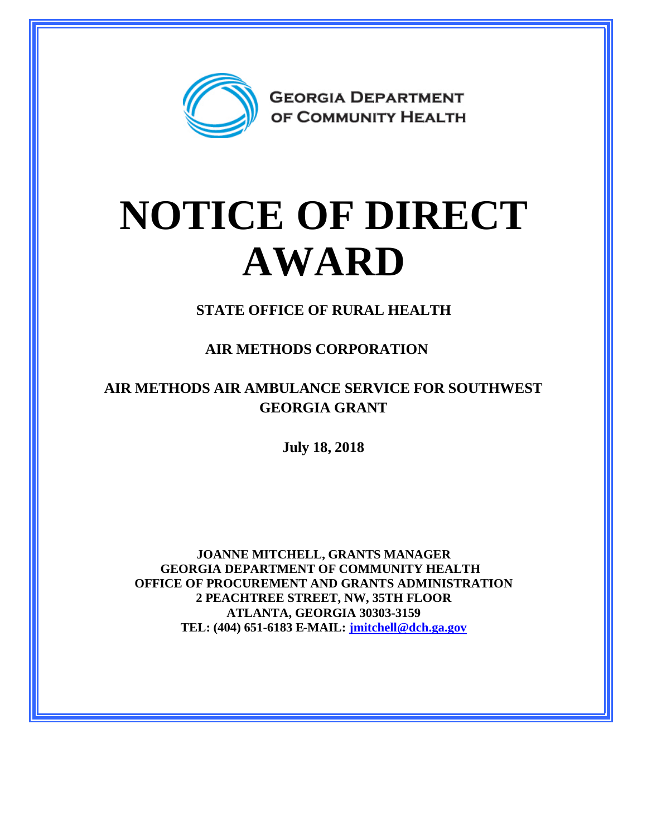

## **NOTICE OF DIRECT AWARD**

**STATE OFFICE OF RURAL HEALTH**

**AIR METHODS CORPORATION**

**AIR METHODS AIR AMBULANCE SERVICE FOR SOUTHWEST GEORGIA GRANT**

**July 18, 2018**

**JOANNE MITCHELL, GRANTS MANAGER GEORGIA DEPARTMENT OF COMMUNITY HEALTH OFFICE OF PROCUREMENT AND GRANTS ADMINISTRATION 2 PEACHTREE STREET, NW, 35TH FLOOR ATLANTA, GEORGIA 30303-3159 TEL: (404) 651-6183 E-MAIL: [jmitchell@dch.ga.gov](mailto:jmitchell@dch.ga.gov)**